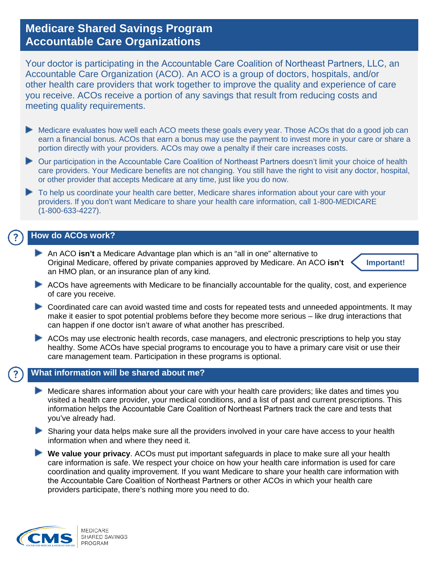# **Medicare Shared Savings Program Accountable Care Organizations**

Your doctor is participating in the Accountable Care Coalition of Northeast Partners, LLC, an Accountable Care Organization (ACO). An ACO is a group of doctors, hospitals, and/or other health care providers that work together to improve the quality and experience of care you receive. ACOs receive a portion of any savings that result from reducing costs and meeting quality requirements.

- Medicare evaluates how well each ACO meets these goals every year. Those ACOs that do a good job can earn a financial bonus. ACOs that earn a bonus may use the payment to invest more in your care or share a portion directly with your providers. ACOs may owe a penalty if their care increases costs.
- Our participation in the Accountable Care Coalition of Northeast Partners doesn't limit your choice of health care providers. Your Medicare benefits are not changing. You still have the right to visit any doctor, hospital, or other provider that accepts Medicare at any time, just like you do now.
- To help us coordinate your health care better, Medicare shares information about your care with your providers. If you don't want Medicare to share your health care information, call 1-800-MEDICARE (1-800-633-4227).

## **How do ACOs work?**

An ACO **isn't** a Medicare Advantage plan which is an "all in one" alternative to Original Medicare, offered by private companies approved by Medicare. An ACO **isn't** an HMO plan, or an insurance plan of any kind.



- ACOs have agreements with Medicare to be financially accountable for the quality, cost, and experience of care you receive.
- Coordinated care can avoid wasted time and costs for repeated tests and unneeded appointments. It may make it easier to spot potential problems before they become more serious – like drug interactions that can happen if one doctor isn't aware of what another has prescribed.
- ACOs may use electronic health records, case managers, and electronic prescriptions to help you stay healthy. Some ACOs have special programs to encourage you to have a primary care visit or use their care management team. Participation in these programs is optional.

### **What information will be shared about me?**

- Medicare shares information about your care with your health care providers; like dates and times you visited a health care provider, your medical conditions, and a list of past and current prescriptions. This information helps the Accountable Care Coalition of Northeast Partners track the care and tests that you've already had.
- Sharing your data helps make sure all the providers involved in your care have access to your health information when and where they need it.
- **We value your privacy**. ACOs must put important safeguards in place to make sure all your health care information is safe. We respect your choice on how your health care information is used for care coordination and quality improvement. If you want Medicare to share your health care information with the Accountable Care Coalition of Northeast Partners or other ACOs in which your health care providers participate, there's nothing more you need to do.